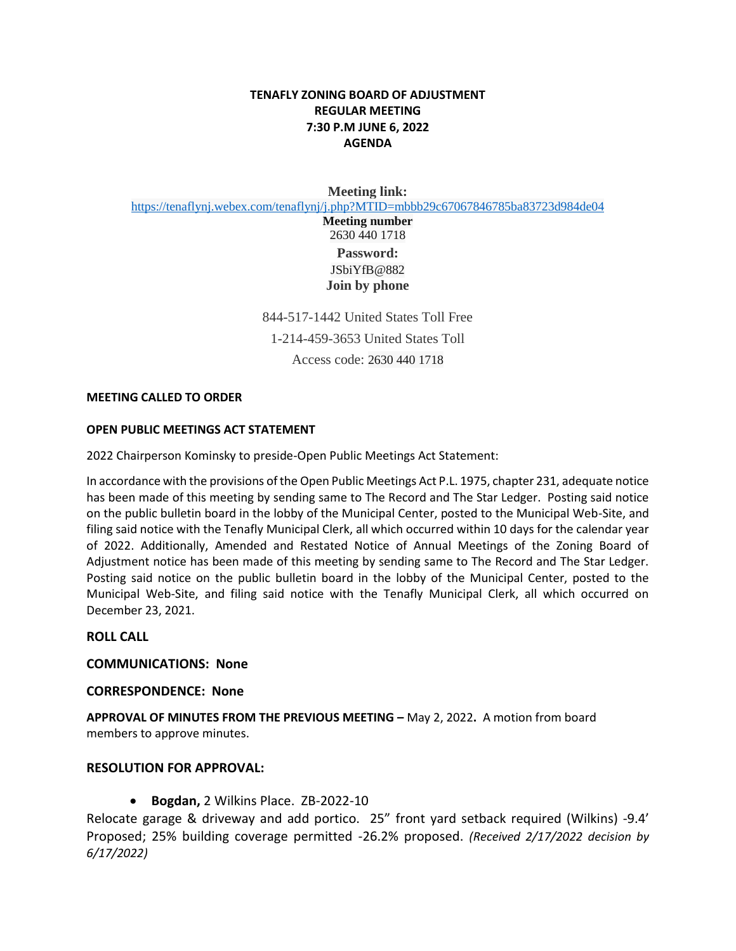# **TENAFLY ZONING BOARD OF ADJUSTMENT REGULAR MEETING 7:30 P.M JUNE 6, 2022 AGENDA**

**Meeting link:**

<https://tenaflynj.webex.com/tenaflynj/j.php?MTID=mbbb29c67067846785ba83723d984de04>

**Meeting number** 2630 440 1718 **Password:** JSbiYfB@882 **Join by phone** 

844-517-1442 United States Toll Free 1-214-459-3653 United States Toll Access code: 2630 440 1718

#### **MEETING CALLED TO ORDER**

#### **OPEN PUBLIC MEETINGS ACT STATEMENT**

2022 Chairperson Kominsky to preside-Open Public Meetings Act Statement:

In accordance with the provisions of the Open Public Meetings Act P.L. 1975, chapter 231, adequate notice has been made of this meeting by sending same to The Record and The Star Ledger. Posting said notice on the public bulletin board in the lobby of the Municipal Center, posted to the Municipal Web-Site, and filing said notice with the Tenafly Municipal Clerk, all which occurred within 10 days for the calendar year of 2022. Additionally, Amended and Restated Notice of Annual Meetings of the Zoning Board of Adjustment notice has been made of this meeting by sending same to The Record and The Star Ledger. Posting said notice on the public bulletin board in the lobby of the Municipal Center, posted to the Municipal Web-Site, and filing said notice with the Tenafly Municipal Clerk, all which occurred on December 23, 2021.

#### **ROLL CALL**

**COMMUNICATIONS: None**

#### **CORRESPONDENCE: None**

**APPROVAL OF MINUTES FROM THE PREVIOUS MEETING –** May 2, 2022**.** A motion from board members to approve minutes.

### **RESOLUTION FOR APPROVAL:**

**Bogdan,** 2 Wilkins Place. ZB-2022-10

Relocate garage & driveway and add portico. 25" front yard setback required (Wilkins) -9.4' Proposed; 25% building coverage permitted -26.2% proposed. *(Received 2/17/2022 decision by 6/17/2022)*